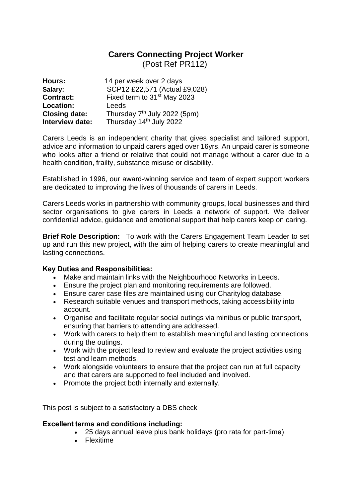## **Carers Connecting Project Worker**

(Post Ref PR112)

| Hours:               | 14 per week over 2 days                  |
|----------------------|------------------------------------------|
| Salary:              | SCP12 £22,571 (Actual £9,028)            |
| <b>Contract:</b>     | Fixed term to 31 <sup>st</sup> May 2023  |
| Location:            | Leeds                                    |
| <b>Closing date:</b> | Thursday 7 <sup>th</sup> July 2022 (5pm) |
| Interview date:      | Thursday 14 <sup>th</sup> July 2022      |

Carers Leeds is an independent charity that gives specialist and tailored support, advice and information to unpaid carers aged over 16yrs. An unpaid carer is someone who looks after a friend or relative that could not manage without a carer due to a health condition, frailty, substance misuse or disability.

Established in 1996, our award-winning service and team of expert support workers are dedicated to improving the lives of thousands of carers in Leeds.

Carers Leeds works in partnership with community groups, local businesses and third sector organisations to give carers in Leeds a network of support. We deliver confidential advice, guidance and emotional support that help carers keep on caring.

**Brief Role Description:** To work with the Carers Engagement Team Leader to set up and run this new project, with the aim of helping carers to create meaningful and lasting connections.

## **Key Duties and Responsibilities:**

- Make and maintain links with the Neighbourhood Networks in Leeds.
- Ensure the project plan and monitoring requirements are followed.
- Ensure carer case files are maintained using our Charitylog database.
- Research suitable venues and transport methods, taking accessibility into account.
- Organise and facilitate regular social outings via minibus or public transport, ensuring that barriers to attending are addressed.
- Work with carers to help them to establish meaningful and lasting connections during the outings.
- Work with the project lead to review and evaluate the project activities using test and learn methods.
- Work alongside volunteers to ensure that the project can run at full capacity and that carers are supported to feel included and involved.
- Promote the project both internally and externally.

This post is subject to a satisfactory a DBS check

## **Excellent terms and conditions including:**

- 25 days annual leave plus bank holidays (pro rata for part-time)
- Flexitime